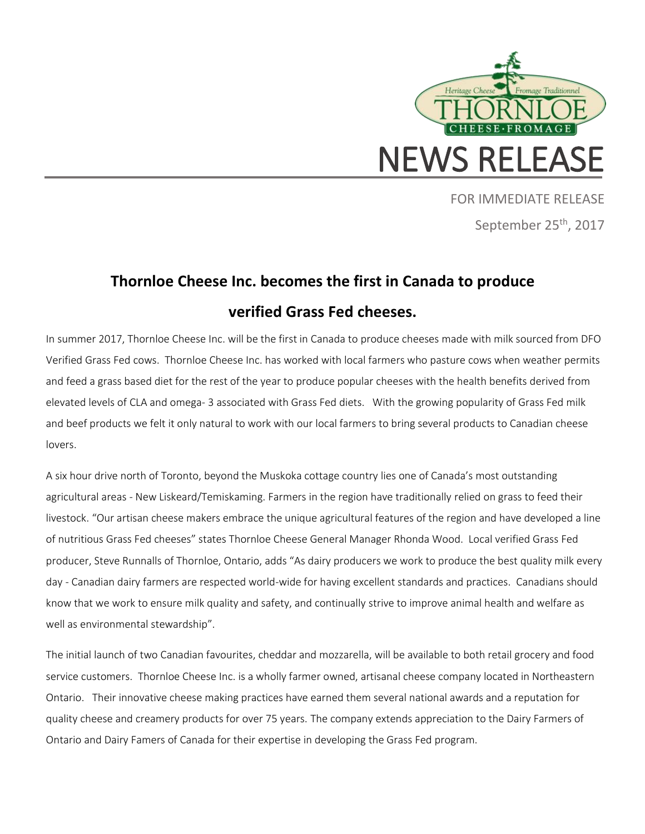

FOR IMMEDIATE RELEASE September 25<sup>th</sup>, 2017

## **Thornloe Cheese Inc. becomes the first in Canada to produce verified Grass Fed cheeses.**

In summer 2017, Thornloe Cheese Inc. will be the first in Canada to produce cheeses made with milk sourced from DFO Verified Grass Fed cows. Thornloe Cheese Inc. has worked with local farmers who pasture cows when weather permits and feed a grass based diet for the rest of the year to produce popular cheeses with the health benefits derived from elevated levels of CLA and omega- 3 associated with Grass Fed diets. With the growing popularity of Grass Fed milk and beef products we felt it only natural to work with our local farmers to bring several products to Canadian cheese lovers.

A six hour drive north of Toronto, beyond the Muskoka cottage country lies one of Canada's most outstanding agricultural areas - New Liskeard/Temiskaming. Farmers in the region have traditionally relied on grass to feed their livestock. "Our artisan cheese makers embrace the unique agricultural features of the region and have developed a line of nutritious Grass Fed cheeses" states Thornloe Cheese General Manager Rhonda Wood. Local verified Grass Fed producer, Steve Runnalls of Thornloe, Ontario, adds "As dairy producers we work to produce the best quality milk every day - Canadian dairy farmers are respected world-wide for having excellent standards and practices. Canadians should know that we work to ensure milk quality and safety, and continually strive to improve animal health and welfare as well as environmental stewardship".

The initial launch of two Canadian favourites, cheddar and mozzarella, will be available to both retail grocery and food service customers. Thornloe Cheese Inc. is a wholly farmer owned, artisanal cheese company located in Northeastern Ontario. Their innovative cheese making practices have earned them several national awards and a reputation for quality cheese and creamery products for over 75 years. The company extends appreciation to the Dairy Farmers of Ontario and Dairy Famers of Canada for their expertise in developing the Grass Fed program.